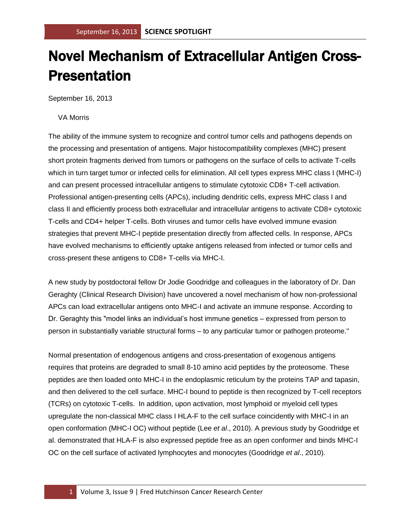## Novel Mechanism of Extracellular Antigen Cross-Presentation

September 16, 2013

## VA Morris

The ability of the immune system to recognize and control tumor cells and pathogens depends on the processing and presentation of antigens. Major histocompatibility complexes (MHC) present short protein fragments derived from tumors or pathogens on the surface of cells to activate T-cells which in turn target tumor or infected cells for elimination. All cell types express MHC class I (MHC-I) and can present processed intracellular antigens to stimulate cytotoxic CD8+ T-cell activation. Professional antigen-presenting cells (APCs), including dendritic cells, express MHC class I and class II and efficiently process both extracellular and intracellular antigens to activate CD8+ cytotoxic T-cells and CD4+ helper T-cells. Both viruses and tumor cells have evolved immune evasion strategies that prevent MHC-I peptide presentation directly from affected cells. In response, APCs have evolved mechanisms to efficiently uptake antigens released from infected or tumor cells and cross-present these antigens to CD8+ T-cells via MHC-I.

A new study by postdoctoral fellow Dr Jodie Goodridge and colleagues in the laboratory of Dr. Dan Geraghty (Clinical Research Division) have uncovered a novel mechanism of how non-professional APCs can load extracellular antigens onto MHC-I and activate an immune response. According to Dr. Geraghty this "model links an individual's host immune genetics – expressed from person to person in substantially variable structural forms – to any particular tumor or pathogen proteome."

Normal presentation of endogenous antigens and cross-presentation of exogenous antigens requires that proteins are degraded to small 8-10 amino acid peptides by the proteosome. These peptides are then loaded onto MHC-I in the endoplasmic reticulum by the proteins TAP and tapasin, and then delivered to the cell surface. MHC-I bound to peptide is then recognized by T-cell receptors (TCRs) on cytotoxic T-cells. In addition, upon activation, most lymphoid or myeloid cell types upregulate the non-classical MHC class I HLA-F to the cell surface coincidently with MHC-I in an open conformation (MHC-I OC) without peptide (Lee *et al*., 2010). A previous study by Goodridge et al. demonstrated that HLA-F is also expressed peptide free as an open conformer and binds MHC-I OC on the cell surface of activated lymphocytes and monocytes (Goodridge *et al*., 2010).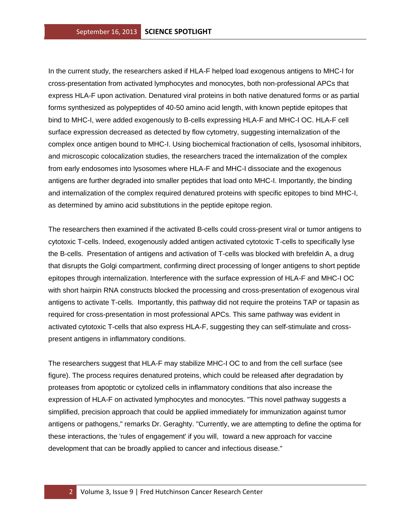In the current study, the researchers asked if HLA-F helped load exogenous antigens to MHC-I for cross-presentation from activated lymphocytes and monocytes, both non-professional APCs that express HLA-F upon activation. Denatured viral proteins in both native denatured forms or as partial forms synthesized as polypeptides of 40-50 amino acid length, with known peptide epitopes that bind to MHC-I, were added exogenously to B-cells expressing HLA-F and MHC-I OC. HLA-F cell surface expression decreased as detected by flow cytometry, suggesting internalization of the complex once antigen bound to MHC-I. Using biochemical fractionation of cells, lysosomal inhibitors, and microscopic colocalization studies, the researchers traced the internalization of the complex from early endosomes into lysosomes where HLA-F and MHC-I dissociate and the exogenous antigens are further degraded into smaller peptides that load onto MHC-I. Importantly, the binding and internalization of the complex required denatured proteins with specific epitopes to bind MHC-I, as determined by amino acid substitutions in the peptide epitope region.

The researchers then examined if the activated B-cells could cross-present viral or tumor antigens to cytotoxic T-cells. Indeed, exogenously added antigen activated cytotoxic T-cells to specifically lyse the B-cells. Presentation of antigens and activation of T-cells was blocked with brefeldin A, a drug that disrupts the Golgi compartment, confirming direct processing of longer antigens to short peptide epitopes through internalization. Interference with the surface expression of HLA-F and MHC-I OC with short hairpin RNA constructs blocked the processing and cross-presentation of exogenous viral antigens to activate T-cells. Importantly, this pathway did not require the proteins TAP or tapasin as required for cross-presentation in most professional APCs. This same pathway was evident in activated cytotoxic T-cells that also express HLA-F, suggesting they can self-stimulate and crosspresent antigens in inflammatory conditions.

The researchers suggest that HLA-F may stabilize MHC-I OC to and from the cell surface (see figure). The process requires denatured proteins, which could be released after degradation by proteases from apoptotic or cytolized cells in inflammatory conditions that also increase the expression of HLA-F on activated lymphocytes and monocytes. "This novel pathway suggests a simplified, precision approach that could be applied immediately for immunization against tumor antigens or pathogens," remarks Dr. Geraghty. "Currently, we are attempting to define the optima for these interactions, the 'rules of engagement' if you will, toward a new approach for vaccine development that can be broadly applied to cancer and infectious disease."